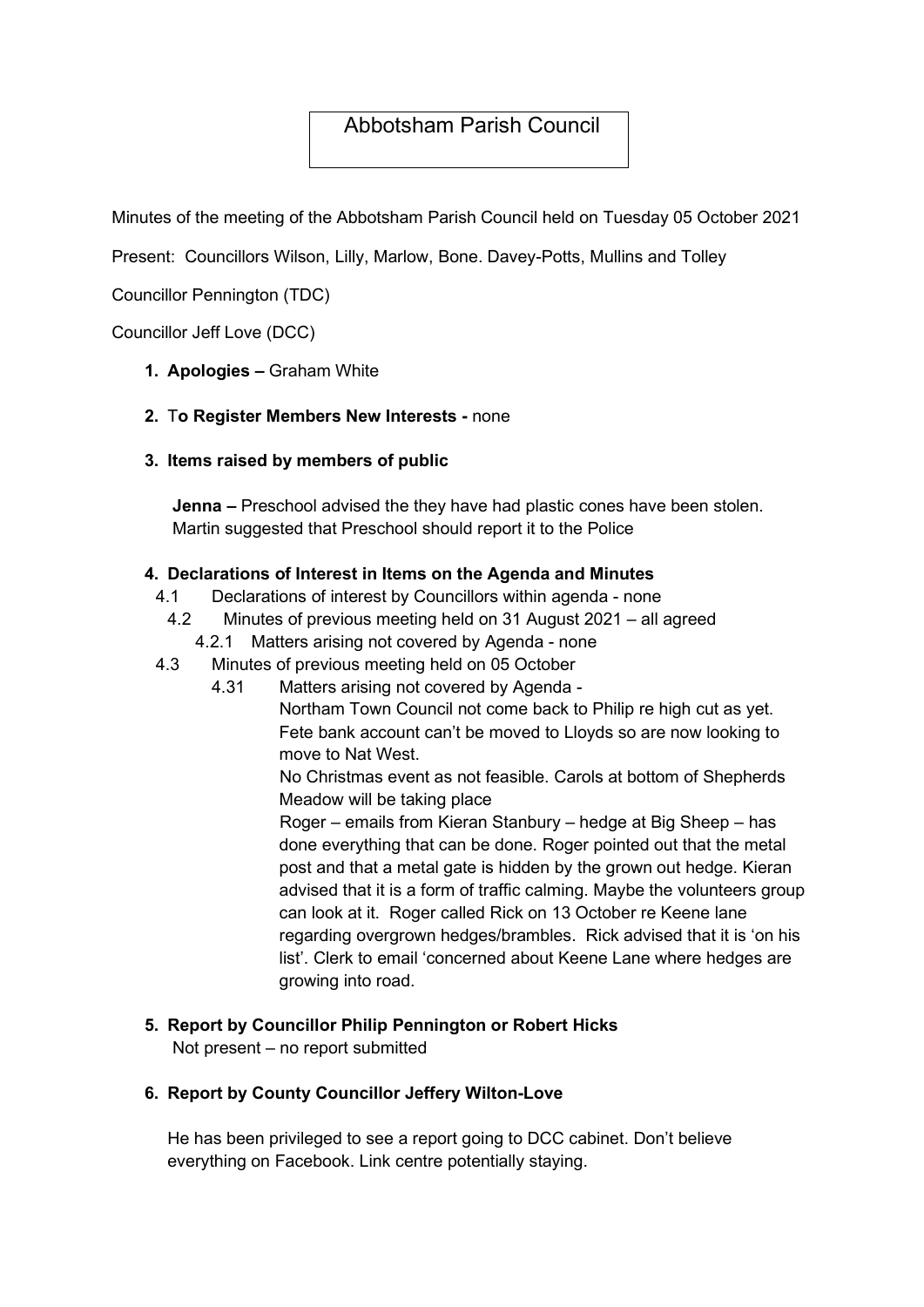# Abbotsham Parish Council

Minutes of the meeting of the Abbotsham Parish Council held on Tuesday 05 October 2021

Present: Councillors Wilson, Lilly, Marlow, Bone. Davey-Potts, Mullins and Tolley

Councillor Pennington (TDC)

Councillor Jeff Love (DCC)

1. Apologies – Graham White

#### 2. To Register Members New Interests - none

3. Items raised by members of public

Jenna – Preschool advised the they have had plastic cones have been stolen. Martin suggested that Preschool should report it to the Police

#### 4. Declarations of Interest in Items on the Agenda and Minutes

- 4.1 Declarations of interest by Councillors within agenda none
- 4.2 Minutes of previous meeting held on 31 August 2021 all agreed
	- 4.2.1 Matters arising not covered by Agenda none
- 4.3 Minutes of previous meeting held on 05 October
	- 4.31 Matters arising not covered by Agenda -

 Northam Town Council not come back to Philip re high cut as yet. Fete bank account can't be moved to Lloyds so are now looking to move to Nat West.

No Christmas event as not feasible. Carols at bottom of Shepherds Meadow will be taking place

Roger – emails from Kieran Stanbury – hedge at Big Sheep – has done everything that can be done. Roger pointed out that the metal post and that a metal gate is hidden by the grown out hedge. Kieran advised that it is a form of traffic calming. Maybe the volunteers group can look at it. Roger called Rick on 13 October re Keene lane regarding overgrown hedges/brambles. Rick advised that it is 'on his list'. Clerk to email 'concerned about Keene Lane where hedges are growing into road.

#### 5. Report by Councillor Philip Pennington or Robert Hicks

Not present – no report submitted

#### 6. Report by County Councillor Jeffery Wilton-Love

He has been privileged to see a report going to DCC cabinet. Don't believe everything on Facebook. Link centre potentially staying.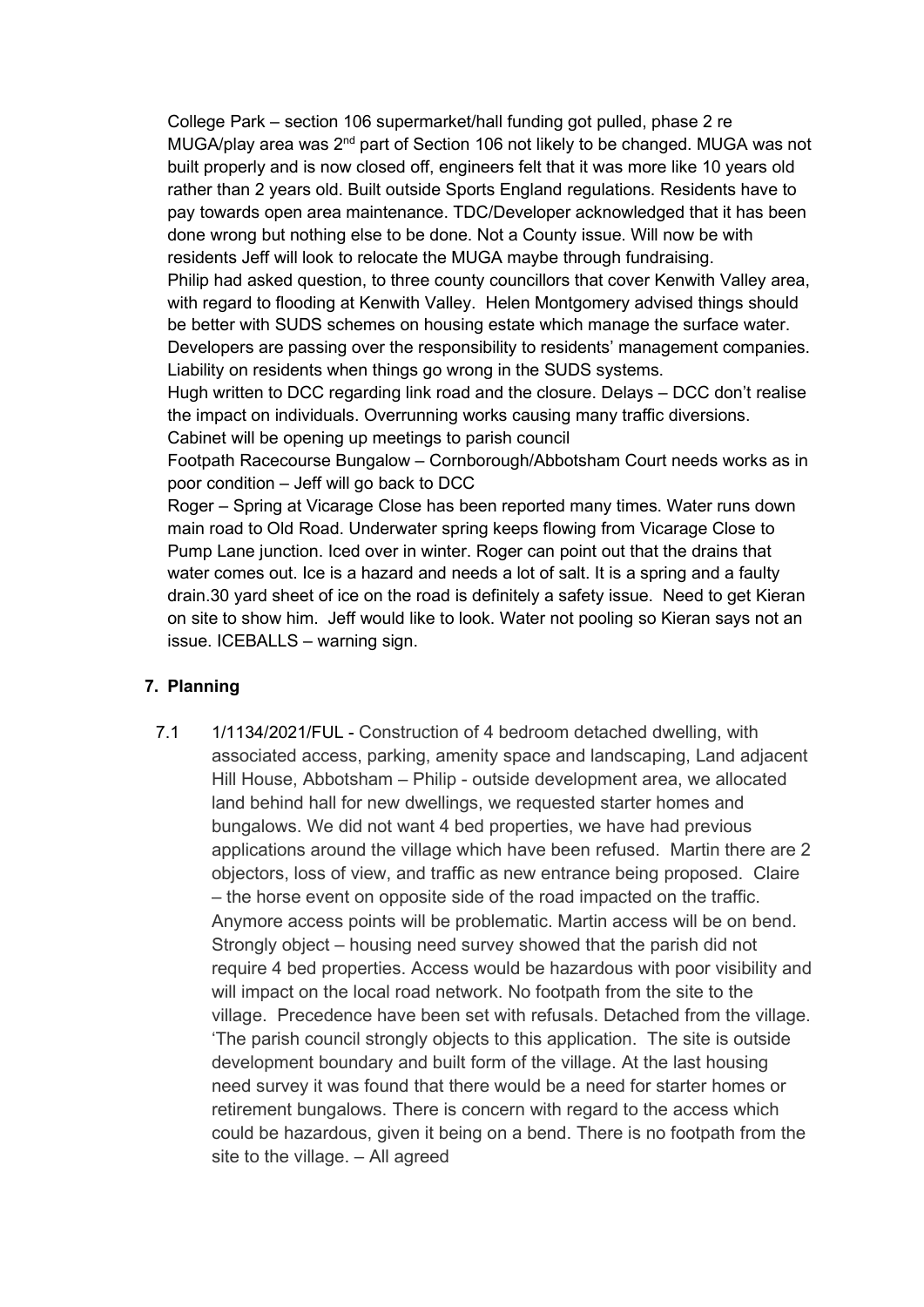College Park – section 106 supermarket/hall funding got pulled, phase 2 re MUGA/play area was 2nd part of Section 106 not likely to be changed. MUGA was not built properly and is now closed off, engineers felt that it was more like 10 years old rather than 2 years old. Built outside Sports England regulations. Residents have to pay towards open area maintenance. TDC/Developer acknowledged that it has been done wrong but nothing else to be done. Not a County issue. Will now be with residents Jeff will look to relocate the MUGA maybe through fundraising. Philip had asked question, to three county councillors that cover Kenwith Valley area, with regard to flooding at Kenwith Valley. Helen Montgomery advised things should be better with SUDS schemes on housing estate which manage the surface water. Developers are passing over the responsibility to residents' management companies. Liability on residents when things go wrong in the SUDS systems.

Hugh written to DCC regarding link road and the closure. Delays – DCC don't realise the impact on individuals. Overrunning works causing many traffic diversions. Cabinet will be opening up meetings to parish council

Footpath Racecourse Bungalow – Cornborough/Abbotsham Court needs works as in poor condition – Jeff will go back to DCC

Roger – Spring at Vicarage Close has been reported many times. Water runs down main road to Old Road. Underwater spring keeps flowing from Vicarage Close to Pump Lane junction. Iced over in winter. Roger can point out that the drains that water comes out. Ice is a hazard and needs a lot of salt. It is a spring and a faulty drain.30 yard sheet of ice on the road is definitely a safety issue. Need to get Kieran on site to show him. Jeff would like to look. Water not pooling so Kieran says not an issue. ICEBALLS – warning sign.

#### 7. Planning

7.1 1/1134/2021/FUL - Construction of 4 bedroom detached dwelling, with associated access, parking, amenity space and landscaping, Land adjacent Hill House, Abbotsham – Philip - outside development area, we allocated land behind hall for new dwellings, we requested starter homes and bungalows. We did not want 4 bed properties, we have had previous applications around the village which have been refused. Martin there are 2 objectors, loss of view, and traffic as new entrance being proposed. Claire – the horse event on opposite side of the road impacted on the traffic. Anymore access points will be problematic. Martin access will be on bend. Strongly object – housing need survey showed that the parish did not require 4 bed properties. Access would be hazardous with poor visibility and will impact on the local road network. No footpath from the site to the village. Precedence have been set with refusals. Detached from the village. 'The parish council strongly objects to this application. The site is outside development boundary and built form of the village. At the last housing need survey it was found that there would be a need for starter homes or retirement bungalows. There is concern with regard to the access which could be hazardous, given it being on a bend. There is no footpath from the site to the village. – All agreed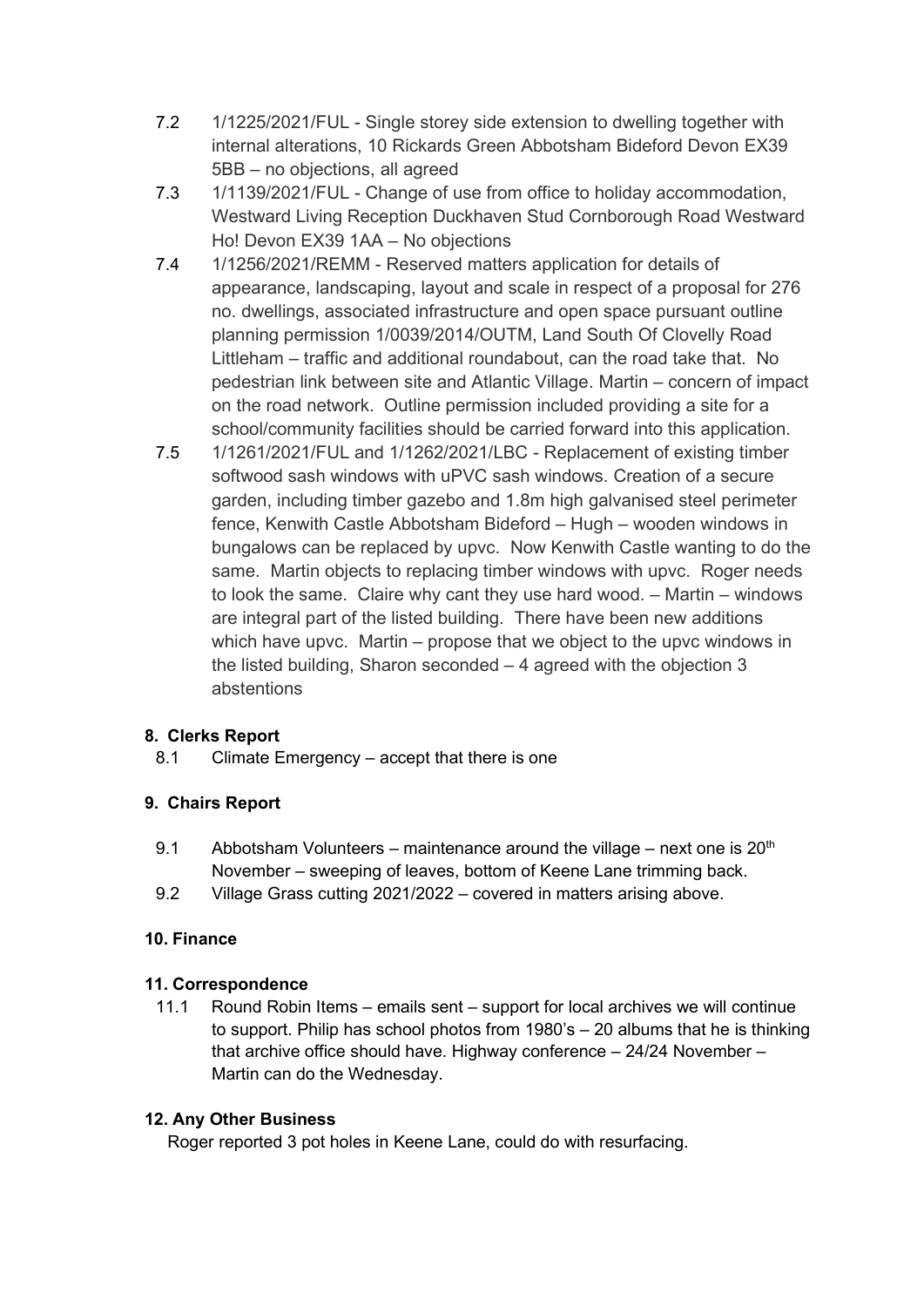- 7.2 1/1225/2021/FUL Single storey side extension to dwelling together with internal alterations, 10 Rickards Green Abbotsham Bideford Devon EX39 5BB – no objections, all agreed
- 7.3 1/1139/2021/FUL Change of use from office to holiday accommodation, Westward Living Reception Duckhaven Stud Cornborough Road Westward Ho! Devon EX39 1AA – No objections
- 7.4 1/1256/2021/REMM Reserved matters application for details of appearance, landscaping, layout and scale in respect of a proposal for 276 no. dwellings, associated infrastructure and open space pursuant outline planning permission 1/0039/2014/OUTM, Land South Of Clovelly Road Littleham – traffic and additional roundabout, can the road take that. No pedestrian link between site and Atlantic Village. Martin – concern of impact on the road network. Outline permission included providing a site for a school/community facilities should be carried forward into this application.
- 7.5 1/1261/2021/FUL and 1/1262/2021/LBC Replacement of existing timber softwood sash windows with uPVC sash windows. Creation of a secure garden, including timber gazebo and 1.8m high galvanised steel perimeter fence, Kenwith Castle Abbotsham Bideford – Hugh – wooden windows in bungalows can be replaced by upvc. Now Kenwith Castle wanting to do the same. Martin objects to replacing timber windows with upvc. Roger needs to look the same. Claire why cant they use hard wood. – Martin – windows are integral part of the listed building. There have been new additions which have upvc. Martin – propose that we object to the upvc windows in the listed building, Sharon seconded – 4 agreed with the objection 3 abstentions

## 8. Clerks Report

8.1 Climate Emergency – accept that there is one

## 9. Chairs Report

- 9.1 Abbotsham Volunteers maintenance around the village next one is  $20<sup>th</sup>$ November – sweeping of leaves, bottom of Keene Lane trimming back.
- 9.2 Village Grass cutting 2021/2022 covered in matters arising above.

## 10. Finance

## 11. Correspondence

11.1 Round Robin Items – emails sent – support for local archives we will continue to support. Philip has school photos from 1980's – 20 albums that he is thinking that archive office should have. Highway conference – 24/24 November – Martin can do the Wednesday.

## 12. Any Other Business

Roger reported 3 pot holes in Keene Lane, could do with resurfacing.